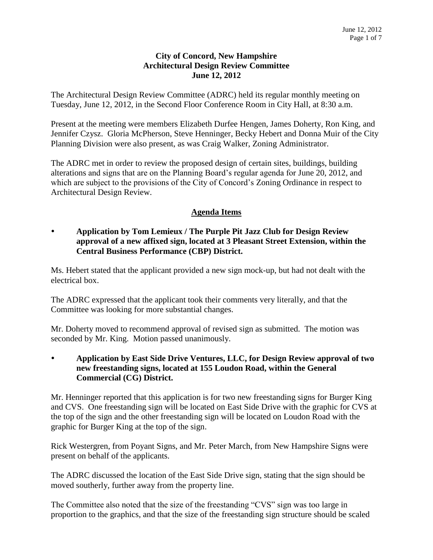### **City of Concord, New Hampshire Architectural Design Review Committee June 12, 2012**

The Architectural Design Review Committee (ADRC) held its regular monthly meeting on Tuesday, June 12, 2012, in the Second Floor Conference Room in City Hall, at 8:30 a.m.

Present at the meeting were members Elizabeth Durfee Hengen, James Doherty, Ron King, and Jennifer Czysz. Gloria McPherson, Steve Henninger, Becky Hebert and Donna Muir of the City Planning Division were also present, as was Craig Walker, Zoning Administrator.

The ADRC met in order to review the proposed design of certain sites, buildings, building alterations and signs that are on the Planning Board's regular agenda for June 20, 2012, and which are subject to the provisions of the City of Concord's Zoning Ordinance in respect to Architectural Design Review.

# **Agenda Items**

# **Application by Tom Lemieux / The Purple Pit Jazz Club for Design Review approval of a new affixed sign, located at 3 Pleasant Street Extension, within the Central Business Performance (CBP) District.**

Ms. Hebert stated that the applicant provided a new sign mock-up, but had not dealt with the electrical box.

The ADRC expressed that the applicant took their comments very literally, and that the Committee was looking for more substantial changes.

Mr. Doherty moved to recommend approval of revised sign as submitted. The motion was seconded by Mr. King. Motion passed unanimously.

 **Application by East Side Drive Ventures, LLC, for Design Review approval of two new freestanding signs, located at 155 Loudon Road, within the General Commercial (CG) District.** 

Mr. Henninger reported that this application is for two new freestanding signs for Burger King and CVS. One freestanding sign will be located on East Side Drive with the graphic for CVS at the top of the sign and the other freestanding sign will be located on Loudon Road with the graphic for Burger King at the top of the sign.

Rick Westergren, from Poyant Signs, and Mr. Peter March, from New Hampshire Signs were present on behalf of the applicants.

The ADRC discussed the location of the East Side Drive sign, stating that the sign should be moved southerly, further away from the property line.

The Committee also noted that the size of the freestanding "CVS" sign was too large in proportion to the graphics, and that the size of the freestanding sign structure should be scaled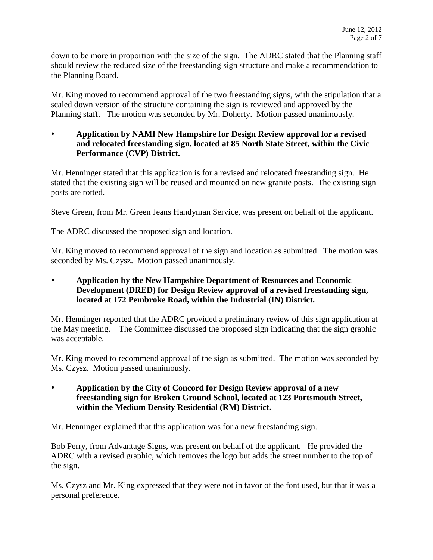down to be more in proportion with the size of the sign. The ADRC stated that the Planning staff should review the reduced size of the freestanding sign structure and make a recommendation to the Planning Board.

Mr. King moved to recommend approval of the two freestanding signs, with the stipulation that a scaled down version of the structure containing the sign is reviewed and approved by the Planning staff. The motion was seconded by Mr. Doherty. Motion passed unanimously.

# **Application by NAMI New Hampshire for Design Review approval for a revised and relocated freestanding sign, located at 85 North State Street, within the Civic Performance (CVP) District.**

Mr. Henninger stated that this application is for a revised and relocated freestanding sign. He stated that the existing sign will be reused and mounted on new granite posts. The existing sign posts are rotted.

Steve Green, from Mr. Green Jeans Handyman Service, was present on behalf of the applicant.

The ADRC discussed the proposed sign and location.

Mr. King moved to recommend approval of the sign and location as submitted. The motion was seconded by Ms. Czysz. Motion passed unanimously.

 **Application by the New Hampshire Department of Resources and Economic Development (DRED) for Design Review approval of a revised freestanding sign, located at 172 Pembroke Road, within the Industrial (IN) District.** 

Mr. Henninger reported that the ADRC provided a preliminary review of this sign application at the May meeting. The Committee discussed the proposed sign indicating that the sign graphic was acceptable.

Mr. King moved to recommend approval of the sign as submitted. The motion was seconded by Ms. Czysz. Motion passed unanimously.

 **Application by the City of Concord for Design Review approval of a new freestanding sign for Broken Ground School, located at 123 Portsmouth Street, within the Medium Density Residential (RM) District.** 

Mr. Henninger explained that this application was for a new freestanding sign.

Bob Perry, from Advantage Signs, was present on behalf of the applicant. He provided the ADRC with a revised graphic, which removes the logo but adds the street number to the top of the sign.

Ms. Czysz and Mr. King expressed that they were not in favor of the font used, but that it was a personal preference.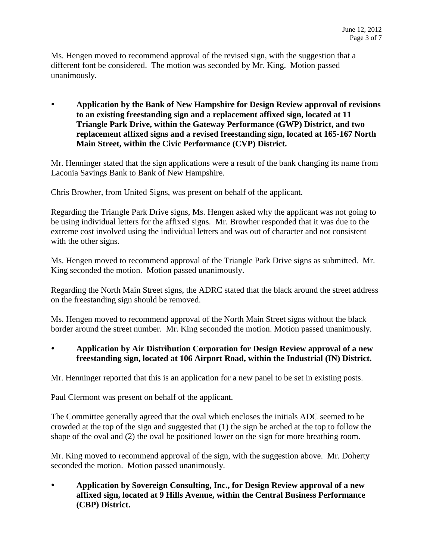Ms. Hengen moved to recommend approval of the revised sign, with the suggestion that a different font be considered. The motion was seconded by Mr. King. Motion passed unanimously.

 **Application by the Bank of New Hampshire for Design Review approval of revisions to an existing freestanding sign and a replacement affixed sign, located at 11 Triangle Park Drive, within the Gateway Performance (GWP) District, and two replacement affixed signs and a revised freestanding sign, located at 165-167 North Main Street, within the Civic Performance (CVP) District.** 

Mr. Henninger stated that the sign applications were a result of the bank changing its name from Laconia Savings Bank to Bank of New Hampshire.

Chris Browher, from United Signs, was present on behalf of the applicant.

Regarding the Triangle Park Drive signs, Ms. Hengen asked why the applicant was not going to be using individual letters for the affixed signs. Mr. Browher responded that it was due to the extreme cost involved using the individual letters and was out of character and not consistent with the other signs.

Ms. Hengen moved to recommend approval of the Triangle Park Drive signs as submitted. Mr. King seconded the motion. Motion passed unanimously.

Regarding the North Main Street signs, the ADRC stated that the black around the street address on the freestanding sign should be removed.

Ms. Hengen moved to recommend approval of the North Main Street signs without the black border around the street number. Mr. King seconded the motion. Motion passed unanimously.

### **Application by Air Distribution Corporation for Design Review approval of a new freestanding sign, located at 106 Airport Road, within the Industrial (IN) District.**

Mr. Henninger reported that this is an application for a new panel to be set in existing posts.

Paul Clermont was present on behalf of the applicant.

The Committee generally agreed that the oval which encloses the initials ADC seemed to be crowded at the top of the sign and suggested that (1) the sign be arched at the top to follow the shape of the oval and (2) the oval be positioned lower on the sign for more breathing room.

Mr. King moved to recommend approval of the sign, with the suggestion above. Mr. Doherty seconded the motion. Motion passed unanimously.

 **Application by Sovereign Consulting, Inc., for Design Review approval of a new affixed sign, located at 9 Hills Avenue, within the Central Business Performance (CBP) District.**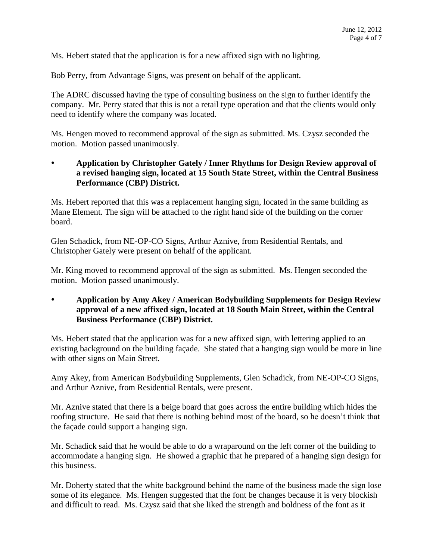Ms. Hebert stated that the application is for a new affixed sign with no lighting.

Bob Perry, from Advantage Signs, was present on behalf of the applicant.

The ADRC discussed having the type of consulting business on the sign to further identify the company. Mr. Perry stated that this is not a retail type operation and that the clients would only need to identify where the company was located.

Ms. Hengen moved to recommend approval of the sign as submitted. Ms. Czysz seconded the motion. Motion passed unanimously.

# **Application by Christopher Gately / Inner Rhythms for Design Review approval of a revised hanging sign, located at 15 South State Street, within the Central Business Performance (CBP) District.**

Ms. Hebert reported that this was a replacement hanging sign, located in the same building as Mane Element. The sign will be attached to the right hand side of the building on the corner board.

Glen Schadick, from NE-OP-CO Signs, Arthur Aznive, from Residential Rentals, and Christopher Gately were present on behalf of the applicant.

Mr. King moved to recommend approval of the sign as submitted. Ms. Hengen seconded the motion. Motion passed unanimously.

### **Application by Amy Akey / American Bodybuilding Supplements for Design Review approval of a new affixed sign, located at 18 South Main Street, within the Central Business Performance (CBP) District.**

Ms. Hebert stated that the application was for a new affixed sign, with lettering applied to an existing background on the building façade. She stated that a hanging sign would be more in line with other signs on Main Street.

Amy Akey, from American Bodybuilding Supplements, Glen Schadick, from NE-OP-CO Signs, and Arthur Aznive, from Residential Rentals, were present.

Mr. Aznive stated that there is a beige board that goes across the entire building which hides the roofing structure. He said that there is nothing behind most of the board, so he doesn't think that the façade could support a hanging sign.

Mr. Schadick said that he would be able to do a wraparound on the left corner of the building to accommodate a hanging sign. He showed a graphic that he prepared of a hanging sign design for this business.

Mr. Doherty stated that the white background behind the name of the business made the sign lose some of its elegance. Ms. Hengen suggested that the font be changes because it is very blockish and difficult to read. Ms. Czysz said that she liked the strength and boldness of the font as it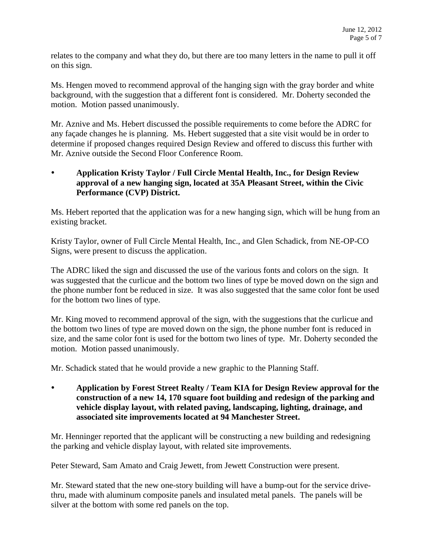relates to the company and what they do, but there are too many letters in the name to pull it off on this sign.

Ms. Hengen moved to recommend approval of the hanging sign with the gray border and white background, with the suggestion that a different font is considered. Mr. Doherty seconded the motion. Motion passed unanimously.

Mr. Aznive and Ms. Hebert discussed the possible requirements to come before the ADRC for any façade changes he is planning. Ms. Hebert suggested that a site visit would be in order to determine if proposed changes required Design Review and offered to discuss this further with Mr. Aznive outside the Second Floor Conference Room.

### **Application Kristy Taylor / Full Circle Mental Health, Inc., for Design Review approval of a new hanging sign, located at 35A Pleasant Street, within the Civic Performance (CVP) District.**

Ms. Hebert reported that the application was for a new hanging sign, which will be hung from an existing bracket.

Kristy Taylor, owner of Full Circle Mental Health, Inc., and Glen Schadick, from NE-OP-CO Signs, were present to discuss the application.

The ADRC liked the sign and discussed the use of the various fonts and colors on the sign. It was suggested that the curlicue and the bottom two lines of type be moved down on the sign and the phone number font be reduced in size. It was also suggested that the same color font be used for the bottom two lines of type.

Mr. King moved to recommend approval of the sign, with the suggestions that the curlicue and the bottom two lines of type are moved down on the sign, the phone number font is reduced in size, and the same color font is used for the bottom two lines of type. Mr. Doherty seconded the motion. Motion passed unanimously.

Mr. Schadick stated that he would provide a new graphic to the Planning Staff.

 **Application by Forest Street Realty / Team KIA for Design Review approval for the construction of a new 14, 170 square foot building and redesign of the parking and vehicle display layout, with related paving, landscaping, lighting, drainage, and associated site improvements located at 94 Manchester Street.** 

Mr. Henninger reported that the applicant will be constructing a new building and redesigning the parking and vehicle display layout, with related site improvements.

Peter Steward, Sam Amato and Craig Jewett, from Jewett Construction were present.

Mr. Steward stated that the new one-story building will have a bump-out for the service drivethru, made with aluminum composite panels and insulated metal panels. The panels will be silver at the bottom with some red panels on the top.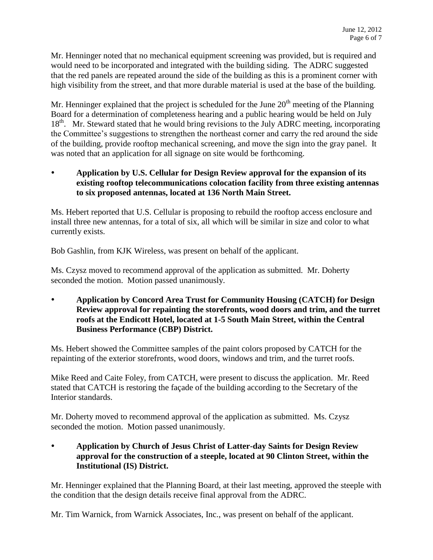Mr. Henninger noted that no mechanical equipment screening was provided, but is required and would need to be incorporated and integrated with the building siding. The ADRC suggested that the red panels are repeated around the side of the building as this is a prominent corner with high visibility from the street, and that more durable material is used at the base of the building.

Mr. Henninger explained that the project is scheduled for the June  $20<sup>th</sup>$  meeting of the Planning Board for a determination of completeness hearing and a public hearing would be held on July 18<sup>th</sup>. Mr. Steward stated that he would bring revisions to the July ADRC meeting, incorporating the Committee's suggestions to strengthen the northeast corner and carry the red around the side of the building, provide rooftop mechanical screening, and move the sign into the gray panel. It was noted that an application for all signage on site would be forthcoming.

 **Application by U.S. Cellular for Design Review approval for the expansion of its existing rooftop telecommunications colocation facility from three existing antennas to six proposed antennas, located at 136 North Main Street.** 

Ms. Hebert reported that U.S. Cellular is proposing to rebuild the rooftop access enclosure and install three new antennas, for a total of six, all which will be similar in size and color to what currently exists.

Bob Gashlin, from KJK Wireless, was present on behalf of the applicant.

Ms. Czysz moved to recommend approval of the application as submitted. Mr. Doherty seconded the motion. Motion passed unanimously.

 **Application by Concord Area Trust for Community Housing (CATCH) for Design Review approval for repainting the storefronts, wood doors and trim, and the turret roofs at the Endicott Hotel, located at 1-5 South Main Street, within the Central Business Performance (CBP) District.**

Ms. Hebert showed the Committee samples of the paint colors proposed by CATCH for the repainting of the exterior storefronts, wood doors, windows and trim, and the turret roofs.

Mike Reed and Caite Foley, from CATCH, were present to discuss the application. Mr. Reed stated that CATCH is restoring the façade of the building according to the Secretary of the Interior standards.

Mr. Doherty moved to recommend approval of the application as submitted. Ms. Czysz seconded the motion. Motion passed unanimously.

 **Application by Church of Jesus Christ of Latter-day Saints for Design Review approval for the construction of a steeple, located at 90 Clinton Street, within the Institutional (IS) District.** 

Mr. Henninger explained that the Planning Board, at their last meeting, approved the steeple with the condition that the design details receive final approval from the ADRC.

Mr. Tim Warnick, from Warnick Associates, Inc., was present on behalf of the applicant.